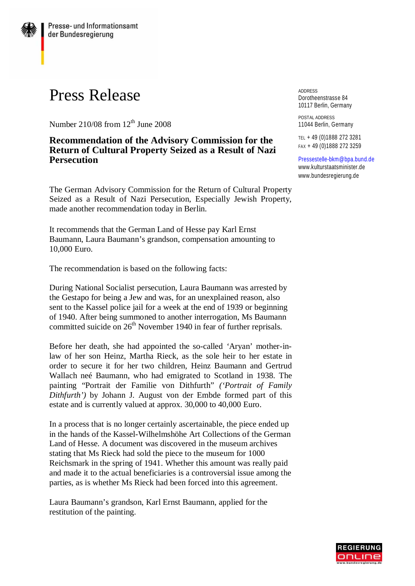## Press Release

Number 210/08 from  $12<sup>th</sup>$  June 2008

## **Recommendation of the Advisory Commission for the Return of Cultural Property Seized as a Result of Nazi Persecution**

The German Advisory Commission for the Return of Cultural Property Seized as a Result of Nazi Persecution, Especially Jewish Property, made another recommendation today in Berlin.

It recommends that the German Land of Hesse pay Karl Ernst Baumann, Laura Baumann's grandson, compensation amounting to 10,000 Euro.

The recommendation is based on the following facts:

During National Socialist persecution, Laura Baumann was arrested by the Gestapo for being a Jew and was, for an unexplained reason, also sent to the Kassel police jail for a week at the end of 1939 or beginning of 1940. After being summoned to another interrogation, Ms Baumann committed suicide on  $26<sup>th</sup>$  November 1940 in fear of further reprisals.

Before her death, she had appointed the so-called *'*Aryan' mother-inlaw of her son Heinz, Martha Rieck, as the sole heir to her estate in order to secure it for her two children, Heinz Baumann and Gertrud Wallach neé Baumann, who had emigrated to Scotland in 1938. The painting "Portrait der Familie von Dithfurth" *('Portrait of Family Dithfurth')* by Johann J. August von der Embde formed part of this estate and is currently valued at approx. 30,000 to 40,000 Euro.

In a process that is no longer certainly ascertainable, the piece ended up in the hands of the Kassel-Wilhelmshöhe Art Collections of the German Land of Hesse. A document was discovered in the museum archives stating that Ms Rieck had sold the piece to the museum for 1000 Reichsmark in the spring of 1941. Whether this amount was really paid and made it to the actual beneficiaries is a controversial issue among the parties, as is whether Ms Rieck had been forced into this agreement.

Laura Baumann's grandson, Karl Ernst Baumann, applied for the restitution of the painting.

**ADDRESS** Dorotheenstrasse 84 10117 Berlin, Germany

POSTAL ADDRESS 11044 Berlin, Germany

TEL + 49 (0)1888 272 3281 FAX + 49 (0)1888 272 3259

[Pressestelle-bkm@bpa.bund.de](mailto:Pressestelle-bkm@bpa.bund.de) [www.kulturstaatsminister.de](http://www.kulturstaatsminister.de) [www.bundesregierung.de](http://www.bundesregierung.de)